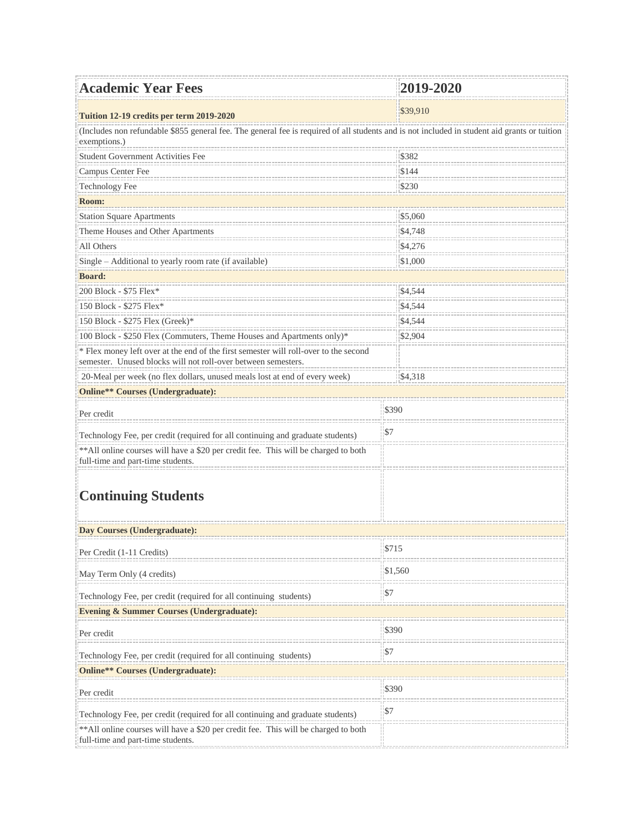| <b>Academic Year Fees</b>                                                                                                                                    |             | 2019-2020 |  |  |
|--------------------------------------------------------------------------------------------------------------------------------------------------------------|-------------|-----------|--|--|
| Tuition 12-19 credits per term 2019-2020                                                                                                                     |             | \$39,910  |  |  |
| (Includes non refundable \$855 general fee. The general fee is required of all students and is not included in student aid grants or tuition<br>exemptions.) |             |           |  |  |
| <b>Student Government Activities Fee</b>                                                                                                                     |             | \$382     |  |  |
| Campus Center Fee                                                                                                                                            |             | \$144     |  |  |
| <b>Technology Fee</b>                                                                                                                                        |             | \$230     |  |  |
| Room:                                                                                                                                                        |             |           |  |  |
| <b>Station Square Apartments</b>                                                                                                                             |             | \$5,060   |  |  |
| Theme Houses and Other Apartments                                                                                                                            |             | \$4,748   |  |  |
| All Others                                                                                                                                                   |             | \$4,276   |  |  |
| Single - Additional to yearly room rate (if available)                                                                                                       |             |           |  |  |
| <b>Board:</b>                                                                                                                                                |             |           |  |  |
| 200 Block - \$75 Flex*                                                                                                                                       |             | \$4,544   |  |  |
| 150 Block - \$275 Flex*                                                                                                                                      |             | \$4,544   |  |  |
| 150 Block - \$275 Flex (Greek)*                                                                                                                              |             | \$4,544   |  |  |
| 100 Block - \$250 Flex (Commuters, Theme Houses and Apartments only)*                                                                                        |             | \$2,904   |  |  |
| * Flex money left over at the end of the first semester will roll-over to the second<br>semester. Unused blocks will not roll-over between semesters.        |             |           |  |  |
| 20-Meal per week (no flex dollars, unused meals lost at end of every week)                                                                                   |             | \$4,318   |  |  |
| Online** Courses (Undergraduate):                                                                                                                            |             |           |  |  |
| Per credit                                                                                                                                                   |             | \$390     |  |  |
| Technology Fee, per credit (required for all continuing and graduate students)                                                                               | \$7         |           |  |  |
| ** All online courses will have a \$20 per credit fee. This will be charged to both<br>full-time and part-time students.                                     |             |           |  |  |
| <b>Continuing Students</b>                                                                                                                                   |             |           |  |  |
| Day Courses (Undergraduate):                                                                                                                                 |             |           |  |  |
| Per Credit (1-11 Credits)                                                                                                                                    | \$715       |           |  |  |
| May Term Only (4 credits)                                                                                                                                    | \$1,560     |           |  |  |
| Technology Fee, per credit (required for all continuing students)                                                                                            | $\sqrt{57}$ |           |  |  |
| <b>Evening &amp; Summer Courses (Undergraduate):</b>                                                                                                         |             |           |  |  |
| Per credit                                                                                                                                                   | \$390       |           |  |  |
| Technology Fee, per credit (required for all continuing students)                                                                                            | \$7         |           |  |  |
| Online** Courses (Undergraduate):                                                                                                                            |             |           |  |  |
| Per credit                                                                                                                                                   | \$390       |           |  |  |
| Technology Fee, per credit (required for all continuing and graduate students)                                                                               | $\sqrt{57}$ |           |  |  |
| ** All online courses will have a \$20 per credit fee. This will be charged to both<br>full-time and part-time students.                                     |             |           |  |  |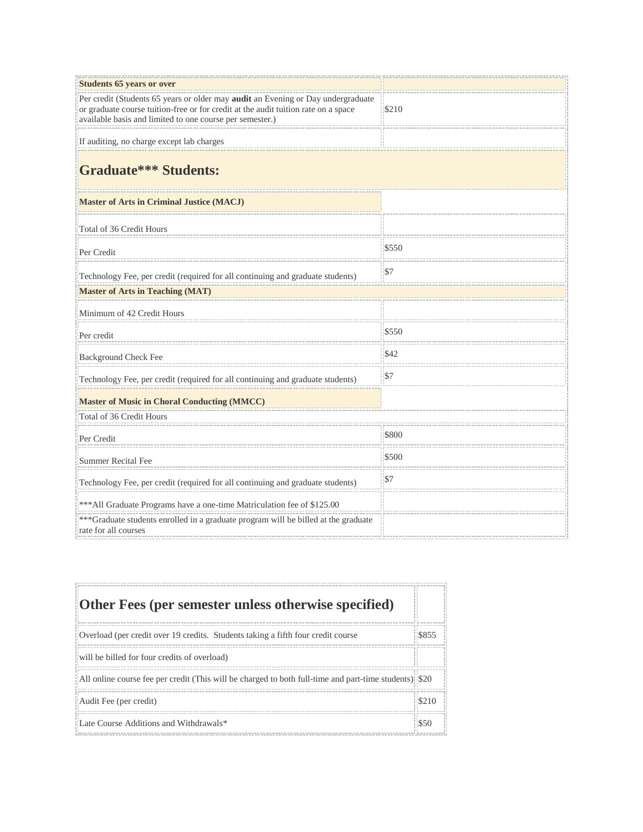| <b>Students 65 years or over</b>                                                                                                                                                                                                   |           |  |  |
|------------------------------------------------------------------------------------------------------------------------------------------------------------------------------------------------------------------------------------|-----------|--|--|
| Per credit (Students 65 years or older may audit an Evening or Day undergraduate<br>or graduate course tuition-free or for credit at the audit tuition rate on a space<br>available basis and limited to one course per semester.) | \$210     |  |  |
| If auditing, no charge except lab charges                                                                                                                                                                                          |           |  |  |
| <b>Graduate*** Students:</b>                                                                                                                                                                                                       |           |  |  |
| <b>Master of Arts in Criminal Justice (MACJ)</b>                                                                                                                                                                                   |           |  |  |
| Total of 36 Credit Hours                                                                                                                                                                                                           |           |  |  |
| Per Credit                                                                                                                                                                                                                         | \$550     |  |  |
| Technology Fee, per credit (required for all continuing and graduate students)                                                                                                                                                     | \$7       |  |  |
| <b>Master of Arts in Teaching (MAT)</b>                                                                                                                                                                                            |           |  |  |
| Minimum of 42 Credit Hours                                                                                                                                                                                                         |           |  |  |
| Per credit                                                                                                                                                                                                                         | \$550     |  |  |
| <b>Background Check Fee</b>                                                                                                                                                                                                        | \$42      |  |  |
| Technology Fee, per credit (required for all continuing and graduate students)                                                                                                                                                     | \$7       |  |  |
| <b>Master of Music in Choral Conducting (MMCC)</b>                                                                                                                                                                                 |           |  |  |
| Total of 36 Credit Hours                                                                                                                                                                                                           |           |  |  |
| Per Credit                                                                                                                                                                                                                         | \$800     |  |  |
| <b>Summer Recital Fee</b>                                                                                                                                                                                                          | \$500     |  |  |
| Technology Fee, per credit (required for all continuing and graduate students)                                                                                                                                                     | <b>S7</b> |  |  |
| *** All Graduate Programs have a one-time Matriculation fee of \$125.00                                                                                                                                                            |           |  |  |
| ***Graduate students enrolled in a graduate program will be billed at the graduate<br>rate for all courses                                                                                                                         |           |  |  |

| Other Fees (per semester unless otherwise specified)                                                   |       |
|--------------------------------------------------------------------------------------------------------|-------|
| Overload (per credit over 19 credits. Students taking a fifth four credit course                       |       |
| will be billed for four credits of overload)                                                           |       |
| All online course fee per credit (This will be charged to both full-time and part-time students): \$20 |       |
| Audit Fee (per credit)                                                                                 | S 210 |
| Late Course Additions and Withdrawals*                                                                 |       |